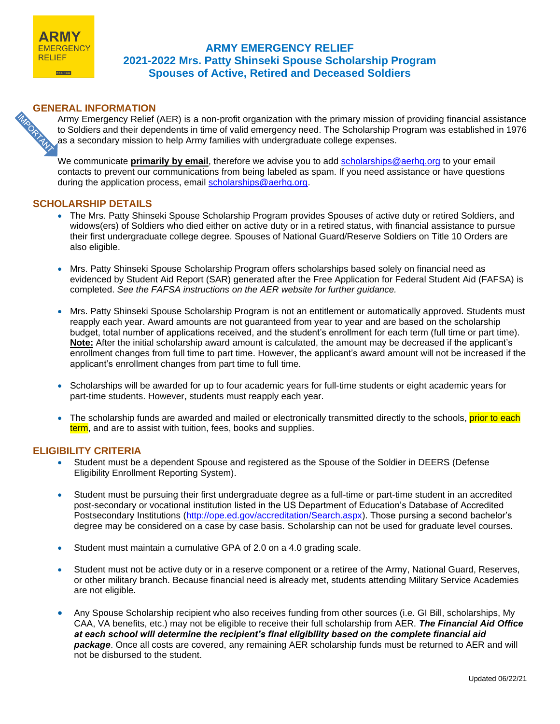

# **ARMY EMERGENCY RELIEF 2021-2022 Mrs. Patty Shinseki Spouse Scholarship Program Spouses of Active, Retired and Deceased Soldiers**

**GENERAL INFORMATION**<br>Army Emergency Relief<br>to Soldiers and their dependence of the condary mission to Army Emergency Relief (AER) is a non-profit organization with the primary mission of providing financial assistance to Soldiers and their dependents in time of valid emergency need. The Scholarship Program was established in 1976 as a secondary mission to help Army families with undergraduate college expenses.

We communicate **primarily by email**, therefore we advise you to add [scholarships@aerhq.org](mailto:scholarships@aerhq.org) to your email contacts to prevent our communications from being labeled as spam. If you need assistance or have questions during the application process, email [scholarships@aerhq.org.](mailto:scholarships@aerhq.org)

# **SCHOLARSHIP DETAILS**

- The Mrs. Patty Shinseki Spouse Scholarship Program provides Spouses of active duty or retired Soldiers, and widows(ers) of Soldiers who died either on active duty or in a retired status, with financial assistance to pursue their first undergraduate college degree. Spouses of National Guard/Reserve Soldiers on Title 10 Orders are also eligible.
- Mrs. Patty Shinseki Spouse Scholarship Program offers scholarships based solely on financial need as evidenced by Student Aid Report (SAR) generated after the Free Application for Federal Student Aid (FAFSA) is completed. *See the FAFSA instructions on the AER website for further guidance.*
- Mrs. Patty Shinseki Spouse Scholarship Program is not an entitlement or automatically approved. Students must reapply each year. Award amounts are not guaranteed from year to year and are based on the scholarship budget, total number of applications received, and the student's enrollment for each term (full time or part time). **Note:** After the initial scholarship award amount is calculated, the amount may be decreased if the applicant's enrollment changes from full time to part time. However, the applicant's award amount will not be increased if the applicant's enrollment changes from part time to full time.
- Scholarships will be awarded for up to four academic years for full-time students or eight academic years for part-time students. However, students must reapply each year.
- The scholarship funds are awarded and mailed or electronically transmitted directly to the schools, prior to each term, and are to assist with tuition, fees, books and supplies.

## **ELIGIBILITY CRITERIA**

- Student must be a dependent Spouse and registered as the Spouse of the Soldier in DEERS (Defense Eligibility Enrollment Reporting System).
- Student must be pursuing their first undergraduate degree as a full-time or part-time student in an accredited post-secondary or vocational institution listed in the US Department of Education's Database of Accredited Postsecondary Institutions [\(http://ope.ed.gov/accreditation/Search.aspx\)](http://ope.ed.gov/accreditation/Search.aspx). Those pursing a second bachelor's degree may be considered on a case by case basis. Scholarship can not be used for graduate level courses.
- Student must maintain a cumulative GPA of 2.0 on a 4.0 grading scale.
- Student must not be active duty or in a reserve component or a retiree of the Army, National Guard, Reserves, or other military branch. Because financial need is already met, students attending Military Service Academies are not eligible.
- Any Spouse Scholarship recipient who also receives funding from other sources (i.e. GI Bill, scholarships, My CAA, VA benefits, etc.) may not be eligible to receive their full scholarship from AER. *The Financial Aid Office at each school will determine the recipient's final eligibility based on the complete financial aid package*. Once all costs are covered, any remaining AER scholarship funds must be returned to AER and will not be disbursed to the student.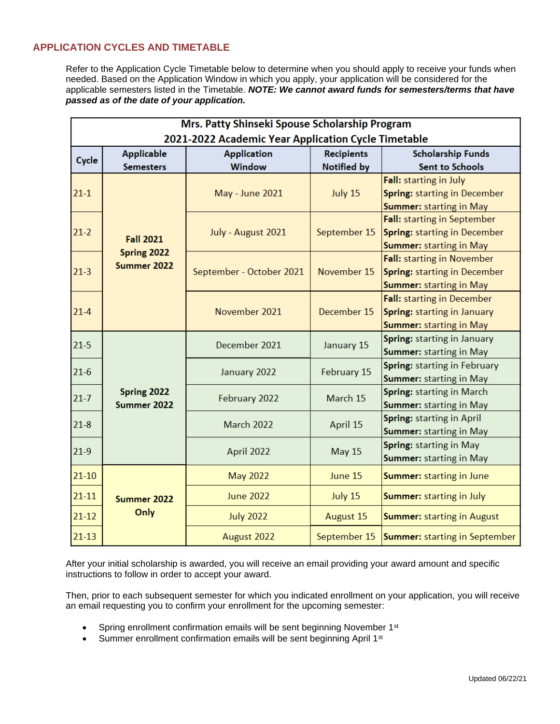# **APPLICATION CYCLES AND TIMETABLE**

Refer to the Application Cycle Timetable below to determine when you should apply to receive your funds when needed. Based on the Application Window in which you apply, your application will be considered for the applicable semesters listed in the Timetable. *NOTE: We cannot award funds for semesters/terms that have passed as of the date of your application.* 

| Mrs. Patty Shinseki Spouse Scholarship Program      |                                                |                          |                   |                                      |
|-----------------------------------------------------|------------------------------------------------|--------------------------|-------------------|--------------------------------------|
| 2021-2022 Academic Year Application Cycle Timetable |                                                |                          |                   |                                      |
| Cycle                                               | Applicable                                     | <b>Application</b>       | <b>Recipients</b> | <b>Scholarship Funds</b>             |
|                                                     | <b>Semesters</b>                               | <b>Window</b>            | Notified by       | <b>Sent to Schools</b>               |
| $21-1$<br>$21-2$                                    | <b>Fall 2021</b><br>Spring 2022<br>Summer 2022 | <b>May - June 2021</b>   | July 15           | Fall: starting in July               |
|                                                     |                                                |                          |                   | <b>Spring: starting in December</b>  |
|                                                     |                                                |                          |                   | <b>Summer: starting in May</b>       |
|                                                     |                                                | July - August 2021       | September 15      | Fall: starting in September          |
|                                                     |                                                |                          |                   | <b>Spring: starting in December</b>  |
|                                                     |                                                |                          |                   | <b>Summer: starting in May</b>       |
| $21-3$<br>$21 - 4$                                  |                                                | September - October 2021 | November 15       | <b>Fall:</b> starting in November    |
|                                                     |                                                |                          |                   | <b>Spring: starting in December</b>  |
|                                                     |                                                |                          |                   | <b>Summer: starting in May</b>       |
|                                                     |                                                | November 2021            | December 15       | <b>Fall:</b> starting in December    |
|                                                     |                                                |                          |                   | <b>Spring: starting in January</b>   |
|                                                     |                                                |                          |                   | <b>Summer: starting in May</b>       |
| $21 - 5$                                            | Spring 2022<br>Summer 2022                     | December 2021            | January 15        | Spring: starting in January          |
|                                                     |                                                |                          |                   | Summer: starting in May              |
| $21-6$                                              |                                                | January 2022             | February 15       | Spring: starting in February         |
|                                                     |                                                |                          |                   | Summer: starting in May              |
| $21 - 7$                                            |                                                | February 2022            | March 15          | Spring: starting in March            |
|                                                     |                                                |                          |                   | Summer: starting in May              |
| $21 - 8$                                            |                                                | March 2022               | April 15          | Spring: starting in April            |
|                                                     |                                                |                          |                   | Summer: starting in May              |
| $21-9$                                              |                                                | April 2022               | <b>May 15</b>     | Spring: starting in May              |
|                                                     |                                                |                          |                   | Summer: starting in May              |
| $21 - 10$                                           | Summer 2022<br>Only                            | <b>May 2022</b>          | June 15           | <b>Summer:</b> starting in June      |
| $21 - 11$                                           |                                                | <b>June 2022</b>         | July 15           | <b>Summer:</b> starting in July      |
| $21 - 12$                                           |                                                | <b>July 2022</b>         | August 15         | <b>Summer: starting in August</b>    |
| $21 - 13$                                           |                                                | August 2022              | September 15      | <b>Summer:</b> starting in September |

After your initial scholarship is awarded, you will receive an email providing your award amount and specific instructions to follow in order to accept your award.

Then, prior to each subsequent semester for which you indicated enrollment on your application, you will receive an email requesting you to confirm your enrollment for the upcoming semester:

- Spring enrollment confirmation emails will be sent beginning November 1<sup>st</sup>
- Summer enrollment confirmation emails will be sent beginning April 1<sup>st</sup>